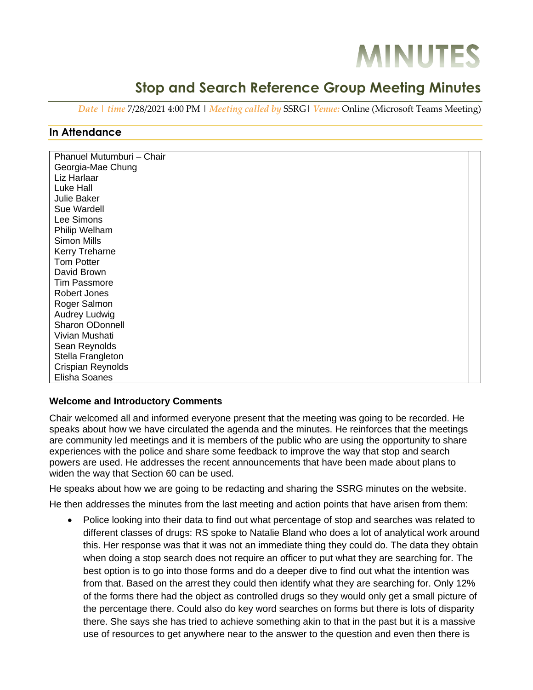# **MINUTES**

# **Stop and Search Reference Group Meeting Minutes**

*Date | time* 7/28/2021 4:00 PM | *Meeting called by* SSRG| *Venue:* Online (Microsoft Teams Meeting)

### **In Attendance**

| Phanuel Mutumburi - Chair |  |
|---------------------------|--|
| Georgia-Mae Chung         |  |
| Liz Harlaar               |  |
| Luke Hall                 |  |
| Julie Baker               |  |
| Sue Wardell               |  |
| Lee Simons                |  |
| Philip Welham             |  |
| Simon Mills               |  |
| Kerry Treharne            |  |
| <b>Tom Potter</b>         |  |
| David Brown               |  |
| <b>Tim Passmore</b>       |  |
| <b>Robert Jones</b>       |  |
| Roger Salmon              |  |
| Audrey Ludwig             |  |
| Sharon ODonnell           |  |
| Vivian Mushati            |  |
| Sean Reynolds             |  |
| Stella Frangleton         |  |
| Crispian Reynolds         |  |
| Elisha Soanes             |  |

#### **Welcome and Introductory Comments**

Chair welcomed all and informed everyone present that the meeting was going to be recorded. He speaks about how we have circulated the agenda and the minutes. He reinforces that the meetings are community led meetings and it is members of the public who are using the opportunity to share experiences with the police and share some feedback to improve the way that stop and search powers are used. He addresses the recent announcements that have been made about plans to widen the way that Section 60 can be used.

He speaks about how we are going to be redacting and sharing the SSRG minutes on the website.

He then addresses the minutes from the last meeting and action points that have arisen from them:

• Police looking into their data to find out what percentage of stop and searches was related to different classes of drugs: RS spoke to Natalie Bland who does a lot of analytical work around this. Her response was that it was not an immediate thing they could do. The data they obtain when doing a stop search does not require an officer to put what they are searching for. The best option is to go into those forms and do a deeper dive to find out what the intention was from that. Based on the arrest they could then identify what they are searching for. Only 12% of the forms there had the object as controlled drugs so they would only get a small picture of the percentage there. Could also do key word searches on forms but there is lots of disparity there. She says she has tried to achieve something akin to that in the past but it is a massive use of resources to get anywhere near to the answer to the question and even then there is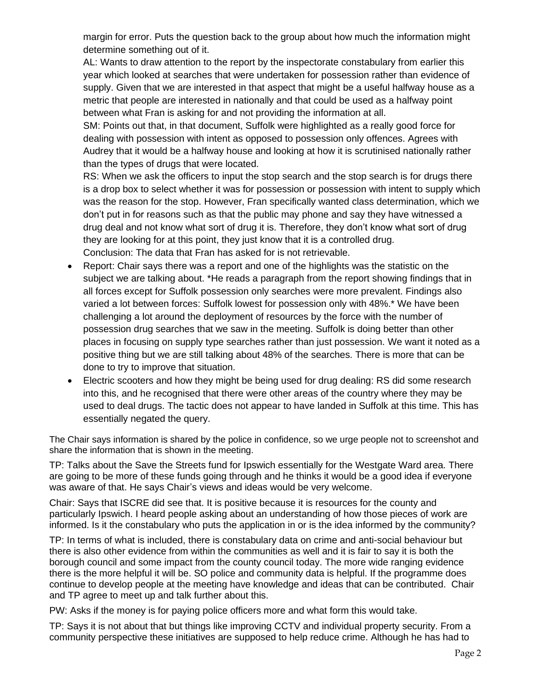margin for error. Puts the question back to the group about how much the information might determine something out of it.

AL: Wants to draw attention to the report by the inspectorate constabulary from earlier this year which looked at searches that were undertaken for possession rather than evidence of supply. Given that we are interested in that aspect that might be a useful halfway house as a metric that people are interested in nationally and that could be used as a halfway point between what Fran is asking for and not providing the information at all.

SM: Points out that, in that document, Suffolk were highlighted as a really good force for dealing with possession with intent as opposed to possession only offences. Agrees with Audrey that it would be a halfway house and looking at how it is scrutinised nationally rather than the types of drugs that were located.

RS: When we ask the officers to input the stop search and the stop search is for drugs there is a drop box to select whether it was for possession or possession with intent to supply which was the reason for the stop. However, Fran specifically wanted class determination, which we don't put in for reasons such as that the public may phone and say they have witnessed a drug deal and not know what sort of drug it is. Therefore, they don't know what sort of drug they are looking for at this point, they just know that it is a controlled drug. Conclusion: The data that Fran has asked for is not retrievable.

- Report: Chair says there was a report and one of the highlights was the statistic on the subject we are talking about. \*He reads a paragraph from the report showing findings that in all forces except for Suffolk possession only searches were more prevalent. Findings also varied a lot between forces: Suffolk lowest for possession only with 48%.\* We have been challenging a lot around the deployment of resources by the force with the number of possession drug searches that we saw in the meeting. Suffolk is doing better than other places in focusing on supply type searches rather than just possession. We want it noted as a positive thing but we are still talking about 48% of the searches. There is more that can be done to try to improve that situation.
- Electric scooters and how they might be being used for drug dealing: RS did some research into this, and he recognised that there were other areas of the country where they may be used to deal drugs. The tactic does not appear to have landed in Suffolk at this time. This has essentially negated the query.

The Chair says information is shared by the police in confidence, so we urge people not to screenshot and share the information that is shown in the meeting.

TP: Talks about the Save the Streets fund for Ipswich essentially for the Westgate Ward area. There are going to be more of these funds going through and he thinks it would be a good idea if everyone was aware of that. He says Chair's views and ideas would be very welcome.

Chair: Says that ISCRE did see that. It is positive because it is resources for the county and particularly Ipswich. I heard people asking about an understanding of how those pieces of work are informed. Is it the constabulary who puts the application in or is the idea informed by the community?

TP: In terms of what is included, there is constabulary data on crime and anti-social behaviour but there is also other evidence from within the communities as well and it is fair to say it is both the borough council and some impact from the county council today. The more wide ranging evidence there is the more helpful it will be. SO police and community data is helpful. If the programme does continue to develop people at the meeting have knowledge and ideas that can be contributed. Chair and TP agree to meet up and talk further about this.

PW: Asks if the money is for paying police officers more and what form this would take.

TP: Says it is not about that but things like improving CCTV and individual property security. From a community perspective these initiatives are supposed to help reduce crime. Although he has had to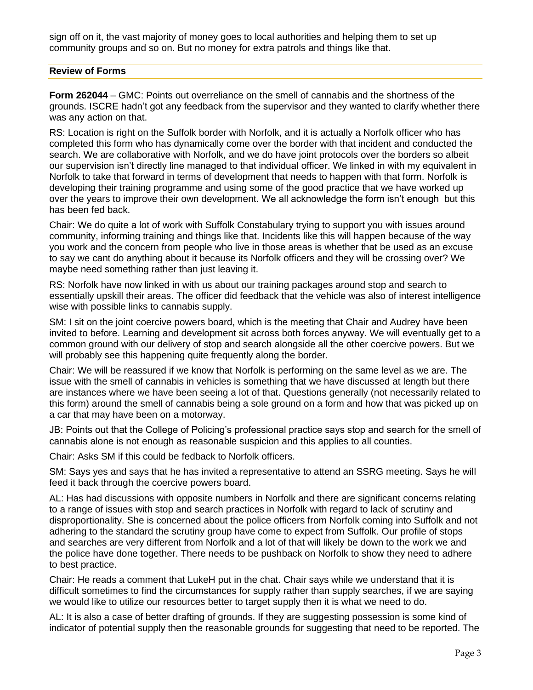sign off on it, the vast majority of money goes to local authorities and helping them to set up community groups and so on. But no money for extra patrols and things like that.

#### **Review of Forms**

**Form 262044** – GMC: Points out overreliance on the smell of cannabis and the shortness of the grounds. ISCRE hadn't got any feedback from the supervisor and they wanted to clarify whether there was any action on that.

RS: Location is right on the Suffolk border with Norfolk, and it is actually a Norfolk officer who has completed this form who has dynamically come over the border with that incident and conducted the search. We are collaborative with Norfolk, and we do have joint protocols over the borders so albeit our supervision isn't directly line managed to that individual officer. We linked in with my equivalent in Norfolk to take that forward in terms of development that needs to happen with that form. Norfolk is developing their training programme and using some of the good practice that we have worked up over the years to improve their own development. We all acknowledge the form isn't enough but this has been fed back.

Chair: We do quite a lot of work with Suffolk Constabulary trying to support you with issues around community, informing training and things like that. Incidents like this will happen because of the way you work and the concern from people who live in those areas is whether that be used as an excuse to say we cant do anything about it because its Norfolk officers and they will be crossing over? We maybe need something rather than just leaving it.

RS: Norfolk have now linked in with us about our training packages around stop and search to essentially upskill their areas. The officer did feedback that the vehicle was also of interest intelligence wise with possible links to cannabis supply.

SM: I sit on the joint coercive powers board, which is the meeting that Chair and Audrey have been invited to before. Learning and development sit across both forces anyway. We will eventually get to a common ground with our delivery of stop and search alongside all the other coercive powers. But we will probably see this happening quite frequently along the border.

Chair: We will be reassured if we know that Norfolk is performing on the same level as we are. The issue with the smell of cannabis in vehicles is something that we have discussed at length but there are instances where we have been seeing a lot of that. Questions generally (not necessarily related to this form) around the smell of cannabis being a sole ground on a form and how that was picked up on a car that may have been on a motorway.

JB: Points out that the College of Policing's professional practice says stop and search for the smell of cannabis alone is not enough as reasonable suspicion and this applies to all counties.

Chair: Asks SM if this could be fedback to Norfolk officers.

SM: Says yes and says that he has invited a representative to attend an SSRG meeting. Says he will feed it back through the coercive powers board.

AL: Has had discussions with opposite numbers in Norfolk and there are significant concerns relating to a range of issues with stop and search practices in Norfolk with regard to lack of scrutiny and disproportionality. She is concerned about the police officers from Norfolk coming into Suffolk and not adhering to the standard the scrutiny group have come to expect from Suffolk. Our profile of stops and searches are very different from Norfolk and a lot of that will likely be down to the work we and the police have done together. There needs to be pushback on Norfolk to show they need to adhere to best practice.

Chair: He reads a comment that LukeH put in the chat. Chair says while we understand that it is difficult sometimes to find the circumstances for supply rather than supply searches, if we are saying we would like to utilize our resources better to target supply then it is what we need to do.

AL: It is also a case of better drafting of grounds. If they are suggesting possession is some kind of indicator of potential supply then the reasonable grounds for suggesting that need to be reported. The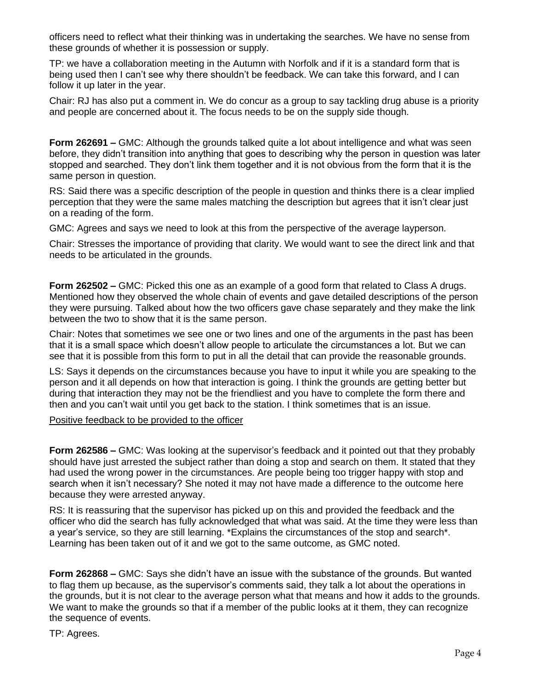officers need to reflect what their thinking was in undertaking the searches. We have no sense from these grounds of whether it is possession or supply.

TP: we have a collaboration meeting in the Autumn with Norfolk and if it is a standard form that is being used then I can't see why there shouldn't be feedback. We can take this forward, and I can follow it up later in the year.

Chair: RJ has also put a comment in. We do concur as a group to say tackling drug abuse is a priority and people are concerned about it. The focus needs to be on the supply side though.

**Form 262691 –** GMC: Although the grounds talked quite a lot about intelligence and what was seen before, they didn't transition into anything that goes to describing why the person in question was later stopped and searched. They don't link them together and it is not obvious from the form that it is the same person in question.

RS: Said there was a specific description of the people in question and thinks there is a clear implied perception that they were the same males matching the description but agrees that it isn't clear just on a reading of the form.

GMC: Agrees and says we need to look at this from the perspective of the average layperson.

Chair: Stresses the importance of providing that clarity. We would want to see the direct link and that needs to be articulated in the grounds.

**Form 262502 –** GMC: Picked this one as an example of a good form that related to Class A drugs. Mentioned how they observed the whole chain of events and gave detailed descriptions of the person they were pursuing. Talked about how the two officers gave chase separately and they make the link between the two to show that it is the same person.

Chair: Notes that sometimes we see one or two lines and one of the arguments in the past has been that it is a small space which doesn't allow people to articulate the circumstances a lot. But we can see that it is possible from this form to put in all the detail that can provide the reasonable grounds.

LS: Says it depends on the circumstances because you have to input it while you are speaking to the person and it all depends on how that interaction is going. I think the grounds are getting better but during that interaction they may not be the friendliest and you have to complete the form there and then and you can't wait until you get back to the station. I think sometimes that is an issue.

Positive feedback to be provided to the officer

**Form 262586 –** GMC: Was looking at the supervisor's feedback and it pointed out that they probably should have just arrested the subject rather than doing a stop and search on them. It stated that they had used the wrong power in the circumstances. Are people being too trigger happy with stop and search when it isn't necessary? She noted it may not have made a difference to the outcome here because they were arrested anyway.

RS: It is reassuring that the supervisor has picked up on this and provided the feedback and the officer who did the search has fully acknowledged that what was said. At the time they were less than a year's service, so they are still learning. \*Explains the circumstances of the stop and search\*. Learning has been taken out of it and we got to the same outcome, as GMC noted.

**Form 262868 –** GMC: Says she didn't have an issue with the substance of the grounds. But wanted to flag them up because, as the supervisor's comments said, they talk a lot about the operations in the grounds, but it is not clear to the average person what that means and how it adds to the grounds. We want to make the grounds so that if a member of the public looks at it them, they can recognize the sequence of events.

TP: Agrees.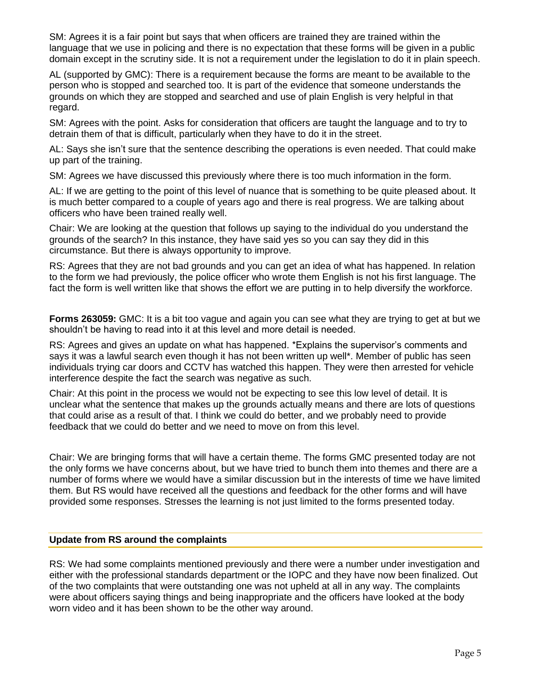SM: Agrees it is a fair point but says that when officers are trained they are trained within the language that we use in policing and there is no expectation that these forms will be given in a public domain except in the scrutiny side. It is not a requirement under the legislation to do it in plain speech.

AL (supported by GMC): There is a requirement because the forms are meant to be available to the person who is stopped and searched too. It is part of the evidence that someone understands the grounds on which they are stopped and searched and use of plain English is very helpful in that regard.

SM: Agrees with the point. Asks for consideration that officers are taught the language and to try to detrain them of that is difficult, particularly when they have to do it in the street.

AL: Says she isn't sure that the sentence describing the operations is even needed. That could make up part of the training.

SM: Agrees we have discussed this previously where there is too much information in the form.

AL: If we are getting to the point of this level of nuance that is something to be quite pleased about. It is much better compared to a couple of years ago and there is real progress. We are talking about officers who have been trained really well.

Chair: We are looking at the question that follows up saying to the individual do you understand the grounds of the search? In this instance, they have said yes so you can say they did in this circumstance. But there is always opportunity to improve.

RS: Agrees that they are not bad grounds and you can get an idea of what has happened. In relation to the form we had previously, the police officer who wrote them English is not his first language. The fact the form is well written like that shows the effort we are putting in to help diversify the workforce.

**Forms 263059:** GMC: It is a bit too vague and again you can see what they are trying to get at but we shouldn't be having to read into it at this level and more detail is needed.

RS: Agrees and gives an update on what has happened. \*Explains the supervisor's comments and says it was a lawful search even though it has not been written up well\*. Member of public has seen individuals trying car doors and CCTV has watched this happen. They were then arrested for vehicle interference despite the fact the search was negative as such.

Chair: At this point in the process we would not be expecting to see this low level of detail. It is unclear what the sentence that makes up the grounds actually means and there are lots of questions that could arise as a result of that. I think we could do better, and we probably need to provide feedback that we could do better and we need to move on from this level.

Chair: We are bringing forms that will have a certain theme. The forms GMC presented today are not the only forms we have concerns about, but we have tried to bunch them into themes and there are a number of forms where we would have a similar discussion but in the interests of time we have limited them. But RS would have received all the questions and feedback for the other forms and will have provided some responses. Stresses the learning is not just limited to the forms presented today.

#### **Update from RS around the complaints**

RS: We had some complaints mentioned previously and there were a number under investigation and either with the professional standards department or the IOPC and they have now been finalized. Out of the two complaints that were outstanding one was not upheld at all in any way. The complaints were about officers saying things and being inappropriate and the officers have looked at the body worn video and it has been shown to be the other way around.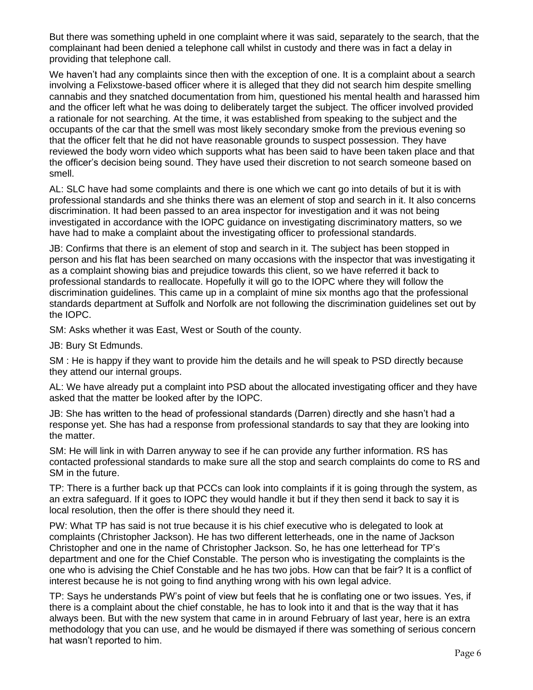But there was something upheld in one complaint where it was said, separately to the search, that the complainant had been denied a telephone call whilst in custody and there was in fact a delay in providing that telephone call.

We haven't had any complaints since then with the exception of one. It is a complaint about a search involving a Felixstowe-based officer where it is alleged that they did not search him despite smelling cannabis and they snatched documentation from him, questioned his mental health and harassed him and the officer left what he was doing to deliberately target the subject. The officer involved provided a rationale for not searching. At the time, it was established from speaking to the subject and the occupants of the car that the smell was most likely secondary smoke from the previous evening so that the officer felt that he did not have reasonable grounds to suspect possession. They have reviewed the body worn video which supports what has been said to have been taken place and that the officer's decision being sound. They have used their discretion to not search someone based on smell.

AL: SLC have had some complaints and there is one which we cant go into details of but it is with professional standards and she thinks there was an element of stop and search in it. It also concerns discrimination. It had been passed to an area inspector for investigation and it was not being investigated in accordance with the IOPC guidance on investigating discriminatory matters, so we have had to make a complaint about the investigating officer to professional standards.

JB: Confirms that there is an element of stop and search in it. The subject has been stopped in person and his flat has been searched on many occasions with the inspector that was investigating it as a complaint showing bias and prejudice towards this client, so we have referred it back to professional standards to reallocate. Hopefully it will go to the IOPC where they will follow the discrimination guidelines. This came up in a complaint of mine six months ago that the professional standards department at Suffolk and Norfolk are not following the discrimination guidelines set out by the IOPC.

SM: Asks whether it was East, West or South of the county.

JB: Bury St Edmunds.

SM : He is happy if they want to provide him the details and he will speak to PSD directly because they attend our internal groups.

AL: We have already put a complaint into PSD about the allocated investigating officer and they have asked that the matter be looked after by the IOPC.

JB: She has written to the head of professional standards (Darren) directly and she hasn't had a response yet. She has had a response from professional standards to say that they are looking into the matter.

SM: He will link in with Darren anyway to see if he can provide any further information. RS has contacted professional standards to make sure all the stop and search complaints do come to RS and SM in the future.

TP: There is a further back up that PCCs can look into complaints if it is going through the system, as an extra safeguard. If it goes to IOPC they would handle it but if they then send it back to say it is local resolution, then the offer is there should they need it.

PW: What TP has said is not true because it is his chief executive who is delegated to look at complaints (Christopher Jackson). He has two different letterheads, one in the name of Jackson Christopher and one in the name of Christopher Jackson. So, he has one letterhead for TP's department and one for the Chief Constable. The person who is investigating the complaints is the one who is advising the Chief Constable and he has two jobs. How can that be fair? It is a conflict of interest because he is not going to find anything wrong with his own legal advice.

TP: Says he understands PW's point of view but feels that he is conflating one or two issues. Yes, if there is a complaint about the chief constable, he has to look into it and that is the way that it has always been. But with the new system that came in in around February of last year, here is an extra methodology that you can use, and he would be dismayed if there was something of serious concern hat wasn't reported to him.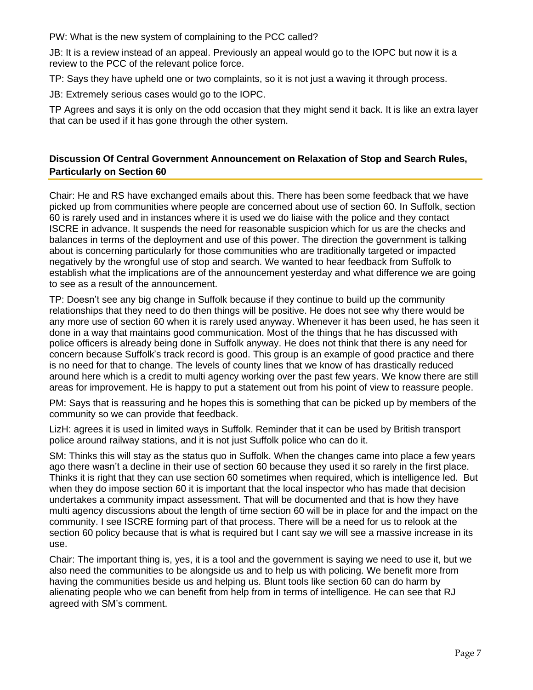PW: What is the new system of complaining to the PCC called?

JB: It is a review instead of an appeal. Previously an appeal would go to the IOPC but now it is a review to the PCC of the relevant police force.

TP: Says they have upheld one or two complaints, so it is not just a waving it through process.

JB: Extremely serious cases would go to the IOPC.

TP Agrees and says it is only on the odd occasion that they might send it back. It is like an extra layer that can be used if it has gone through the other system.

## **Discussion Of Central Government Announcement on Relaxation of Stop and Search Rules, Particularly on Section 60**

Chair: He and RS have exchanged emails about this. There has been some feedback that we have picked up from communities where people are concerned about use of section 60. In Suffolk, section 60 is rarely used and in instances where it is used we do liaise with the police and they contact ISCRE in advance. It suspends the need for reasonable suspicion which for us are the checks and balances in terms of the deployment and use of this power. The direction the government is talking about is concerning particularly for those communities who are traditionally targeted or impacted negatively by the wrongful use of stop and search. We wanted to hear feedback from Suffolk to establish what the implications are of the announcement yesterday and what difference we are going to see as a result of the announcement.

TP: Doesn't see any big change in Suffolk because if they continue to build up the community relationships that they need to do then things will be positive. He does not see why there would be any more use of section 60 when it is rarely used anyway. Whenever it has been used, he has seen it done in a way that maintains good communication. Most of the things that he has discussed with police officers is already being done in Suffolk anyway. He does not think that there is any need for concern because Suffolk's track record is good. This group is an example of good practice and there is no need for that to change. The levels of county lines that we know of has drastically reduced around here which is a credit to multi agency working over the past few years. We know there are still areas for improvement. He is happy to put a statement out from his point of view to reassure people.

PM: Says that is reassuring and he hopes this is something that can be picked up by members of the community so we can provide that feedback.

LizH: agrees it is used in limited ways in Suffolk. Reminder that it can be used by British transport police around railway stations, and it is not just Suffolk police who can do it.

SM: Thinks this will stay as the status quo in Suffolk. When the changes came into place a few years ago there wasn't a decline in their use of section 60 because they used it so rarely in the first place. Thinks it is right that they can use section 60 sometimes when required, which is intelligence led. But when they do impose section 60 it is important that the local inspector who has made that decision undertakes a community impact assessment. That will be documented and that is how they have multi agency discussions about the length of time section 60 will be in place for and the impact on the community. I see ISCRE forming part of that process. There will be a need for us to relook at the section 60 policy because that is what is required but I cant say we will see a massive increase in its use.

Chair: The important thing is, yes, it is a tool and the government is saying we need to use it, but we also need the communities to be alongside us and to help us with policing. We benefit more from having the communities beside us and helping us. Blunt tools like section 60 can do harm by alienating people who we can benefit from help from in terms of intelligence. He can see that RJ agreed with SM's comment.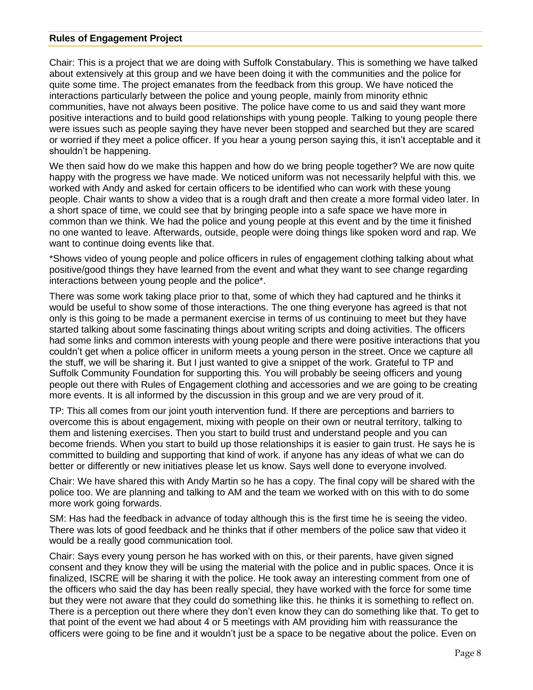#### **Rules of Engagement Project**

Chair: This is a project that we are doing with Suffolk Constabulary. This is something we have talked about extensively at this group and we have been doing it with the communities and the police for quite some time. The project emanates from the feedback from this group. We have noticed the interactions particularly between the police and young people, mainly from minority ethnic communities, have not always been positive. The police have come to us and said they want more positive interactions and to build good relationships with young people. Talking to young people there were issues such as people saying they have never been stopped and searched but they are scared or worried if they meet a police officer. If you hear a young person saying this, it isn't acceptable and it shouldn't be happening.

We then said how do we make this happen and how do we bring people together? We are now quite happy with the progress we have made. We noticed uniform was not necessarily helpful with this. we worked with Andy and asked for certain officers to be identified who can work with these young people. Chair wants to show a video that is a rough draft and then create a more formal video later. In a short space of time, we could see that by bringing people into a safe space we have more in common than we think. We had the police and young people at this event and by the time it finished no one wanted to leave. Afterwards, outside, people were doing things like spoken word and rap. We want to continue doing events like that.

\*Shows video of young people and police officers in rules of engagement clothing talking about what positive/good things they have learned from the event and what they want to see change regarding interactions between young people and the police\*.

There was some work taking place prior to that, some of which they had captured and he thinks it would be useful to show some of those interactions. The one thing everyone has agreed is that not only is this going to be made a permanent exercise in terms of us continuing to meet but they have started talking about some fascinating things about writing scripts and doing activities. The officers had some links and common interests with young people and there were positive interactions that you couldn't get when a police officer in uniform meets a young person in the street. Once we capture all the stuff, we will be sharing it. But I just wanted to give a snippet of the work. Grateful to TP and Suffolk Community Foundation for supporting this. You will probably be seeing officers and young people out there with Rules of Engagement clothing and accessories and we are going to be creating more events. It is all informed by the discussion in this group and we are very proud of it.

TP: This all comes from our joint youth intervention fund. If there are perceptions and barriers to overcome this is about engagement, mixing with people on their own or neutral territory, talking to them and listening exercises. Then you start to build trust and understand people and you can become friends. When you start to build up those relationships it is easier to gain trust. He says he is committed to building and supporting that kind of work. if anyone has any ideas of what we can do better or differently or new initiatives please let us know. Says well done to everyone involved.

Chair: We have shared this with Andy Martin so he has a copy. The final copy will be shared with the police too. We are planning and talking to AM and the team we worked with on this with to do some more work going forwards.

SM: Has had the feedback in advance of today although this is the first time he is seeing the video. There was lots of good feedback and he thinks that if other members of the police saw that video it would be a really good communication tool.

Chair: Says every young person he has worked with on this, or their parents, have given signed consent and they know they will be using the material with the police and in public spaces. Once it is finalized, ISCRE will be sharing it with the police. He took away an interesting comment from one of the officers who said the day has been really special, they have worked with the force for some time but they were not aware that they could do something like this. he thinks it is something to reflect on. There is a perception out there where they don't even know they can do something like that. To get to that point of the event we had about 4 or 5 meetings with AM providing him with reassurance the officers were going to be fine and it wouldn't just be a space to be negative about the police. Even on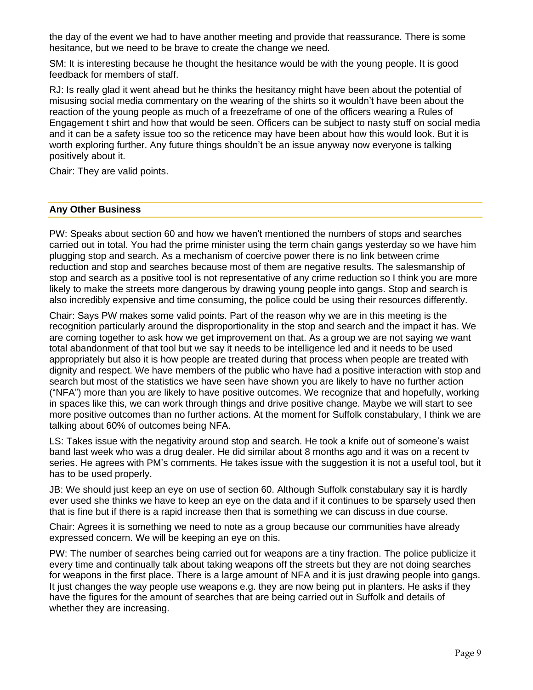the day of the event we had to have another meeting and provide that reassurance. There is some hesitance, but we need to be brave to create the change we need.

SM: It is interesting because he thought the hesitance would be with the young people. It is good feedback for members of staff.

RJ: Is really glad it went ahead but he thinks the hesitancy might have been about the potential of misusing social media commentary on the wearing of the shirts so it wouldn't have been about the reaction of the young people as much of a freezeframe of one of the officers wearing a Rules of Engagement t shirt and how that would be seen. Officers can be subject to nasty stuff on social media and it can be a safety issue too so the reticence may have been about how this would look. But it is worth exploring further. Any future things shouldn't be an issue anyway now everyone is talking positively about it.

Chair: They are valid points.

#### **Any Other Business**

PW: Speaks about section 60 and how we haven't mentioned the numbers of stops and searches carried out in total. You had the prime minister using the term chain gangs yesterday so we have him plugging stop and search. As a mechanism of coercive power there is no link between crime reduction and stop and searches because most of them are negative results. The salesmanship of stop and search as a positive tool is not representative of any crime reduction so I think you are more likely to make the streets more dangerous by drawing young people into gangs. Stop and search is also incredibly expensive and time consuming, the police could be using their resources differently.

Chair: Says PW makes some valid points. Part of the reason why we are in this meeting is the recognition particularly around the disproportionality in the stop and search and the impact it has. We are coming together to ask how we get improvement on that. As a group we are not saying we want total abandonment of that tool but we say it needs to be intelligence led and it needs to be used appropriately but also it is how people are treated during that process when people are treated with dignity and respect. We have members of the public who have had a positive interaction with stop and search but most of the statistics we have seen have shown you are likely to have no further action ("NFA") more than you are likely to have positive outcomes. We recognize that and hopefully, working in spaces like this, we can work through things and drive positive change. Maybe we will start to see more positive outcomes than no further actions. At the moment for Suffolk constabulary, I think we are talking about 60% of outcomes being NFA.

LS: Takes issue with the negativity around stop and search. He took a knife out of someone's waist band last week who was a drug dealer. He did similar about 8 months ago and it was on a recent tv series. He agrees with PM's comments. He takes issue with the suggestion it is not a useful tool, but it has to be used properly.

JB: We should just keep an eye on use of section 60. Although Suffolk constabulary say it is hardly ever used she thinks we have to keep an eye on the data and if it continues to be sparsely used then that is fine but if there is a rapid increase then that is something we can discuss in due course.

Chair: Agrees it is something we need to note as a group because our communities have already expressed concern. We will be keeping an eye on this.

PW: The number of searches being carried out for weapons are a tiny fraction. The police publicize it every time and continually talk about taking weapons off the streets but they are not doing searches for weapons in the first place. There is a large amount of NFA and it is just drawing people into gangs. It just changes the way people use weapons e.g. they are now being put in planters. He asks if they have the figures for the amount of searches that are being carried out in Suffolk and details of whether they are increasing.